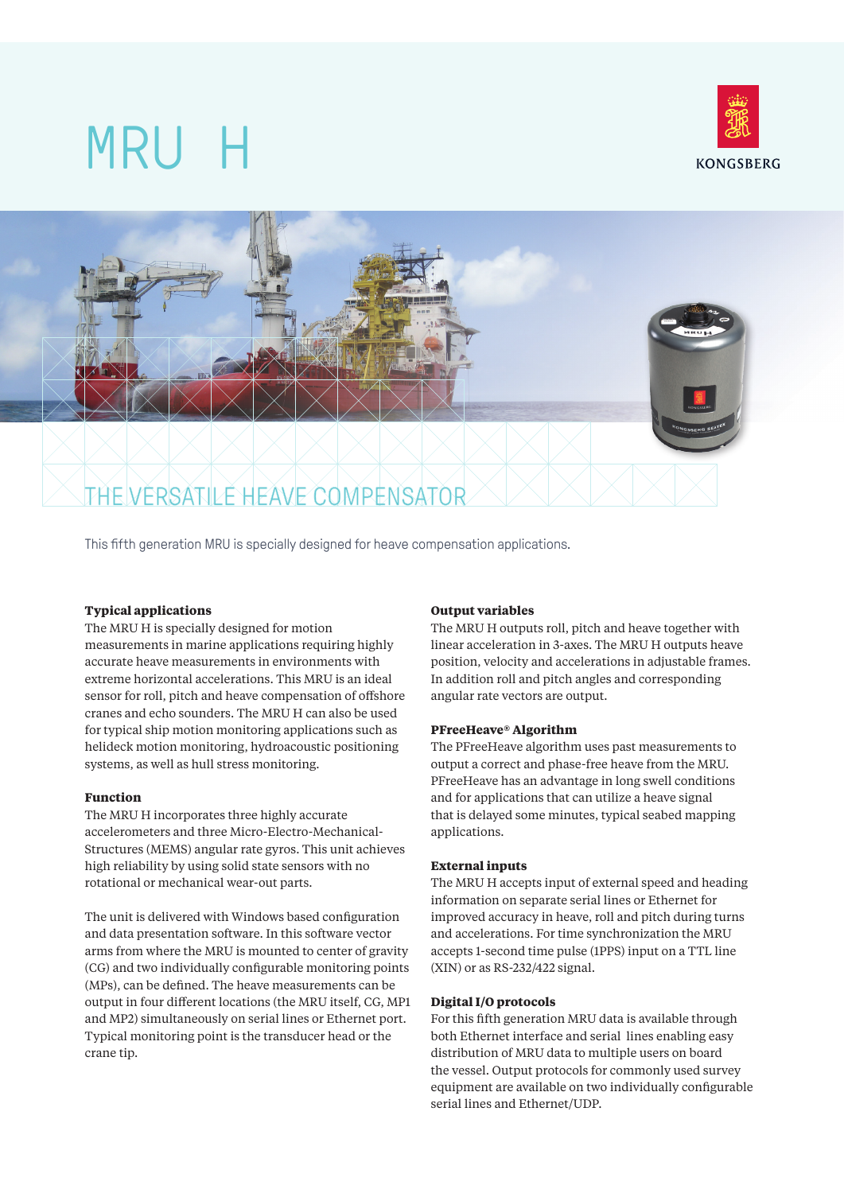





This fifth generation MRU is specially designed for heave compensation applications.

## **Typical applications**

The MRU H is specially designed for motion measurements in marine applications requiring highly accurate heave measurements in environments with extreme horizontal accelerations. This MRU is an ideal sensor for roll, pitch and heave compensation of offshore cranes and echo sounders. The MRU H can also be used for typical ship motion monitoring applications such as helideck motion monitoring, hydroacoustic positioning systems, as well as hull stress monitoring.

## **Function**

The MRU H incorporates three highly accurate accelerometers and three Micro-Electro-Mechanical-Structures (MEMS) angular rate gyros. This unit achieves high reliability by using solid state sensors with no rotational or mechanical wear-out parts.

The unit is delivered with Windows based configuration and data presentation software. In this software vector arms from where the MRU is mounted to center of gravity (CG) and two individually configurable monitoring points (MPs), can be defined. The heave measurements can be output in four different locations (the MRU itself, CG, MP1 and MP2) simultaneously on serial lines or Ethernet port. Typical monitoring point is the transducer head or the crane tip.

## **Output variables**

The MRU H outputs roll, pitch and heave together with linear acceleration in 3-axes. The MRU H outputs heave position, velocity and accelerations in adjustable frames. In addition roll and pitch angles and corresponding angular rate vectors are output.

## **PFreeHeave® Algorithm**

The PFreeHeave algorithm uses past measurements to output a correct and phase-free heave from the MRU. PFreeHeave has an advantage in long swell conditions and for applications that can utilize a heave signal that is delayed some minutes, typical seabed mapping applications.

### **External inputs**

The MRU H accepts input of external speed and heading information on separate serial lines or Ethernet for improved accuracy in heave, roll and pitch during turns and accelerations. For time synchronization the MRU accepts 1-second time pulse (1PPS) input on a TTL line (XIN) or as RS-232/422 signal.

## **Digital I/O protocols**

For this fifth generation MRU data is available through both Ethernet interface and serial lines enabling easy distribution of MRU data to multiple users on board the vessel. Output protocols for commonly used survey equipment are available on two individually configurable serial lines and Ethernet/UDP.